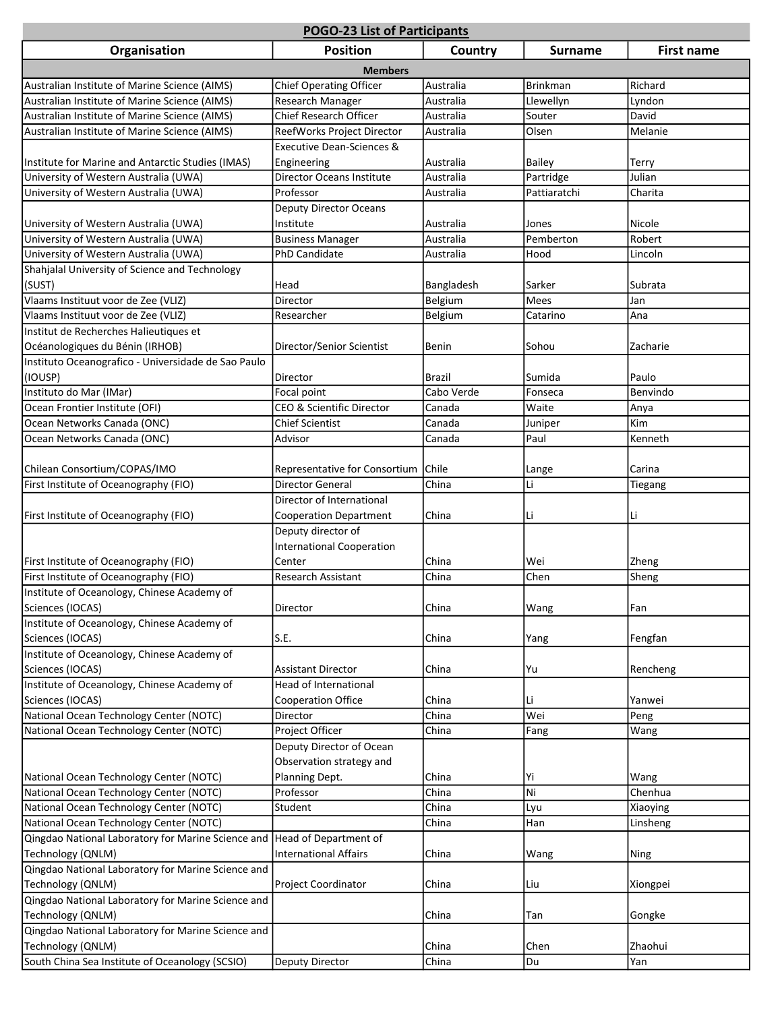| <b>POGO-23 List of Participants</b>                 |                                      |            |                 |                   |
|-----------------------------------------------------|--------------------------------------|------------|-----------------|-------------------|
| Organisation                                        | <b>Position</b>                      | Country    | <b>Surname</b>  | <b>First name</b> |
|                                                     | <b>Members</b>                       |            |                 |                   |
| Australian Institute of Marine Science (AIMS)       | <b>Chief Operating Officer</b>       | Australia  | <b>Brinkman</b> | Richard           |
| Australian Institute of Marine Science (AIMS)       | Research Manager                     | Australia  | Llewellyn       | Lyndon            |
| Australian Institute of Marine Science (AIMS)       | Chief Research Officer               | Australia  | Souter          | David             |
| Australian Institute of Marine Science (AIMS)       | ReefWorks Project Director           | Australia  | Olsen           | Melanie           |
|                                                     | <b>Executive Dean-Sciences &amp;</b> |            |                 |                   |
| Institute for Marine and Antarctic Studies (IMAS)   | Engineering                          | Australia  | <b>Bailey</b>   | Terry             |
| University of Western Australia (UWA)               | <b>Director Oceans Institute</b>     | Australia  | Partridge       | Julian            |
| University of Western Australia (UWA)               | Professor                            | Australia  | Pattiaratchi    | Charita           |
|                                                     | <b>Deputy Director Oceans</b>        |            |                 |                   |
| University of Western Australia (UWA)               | Institute                            | Australia  | Jones           | Nicole            |
| University of Western Australia (UWA)               | <b>Business Manager</b>              | Australia  | Pemberton       | Robert            |
| University of Western Australia (UWA)               | PhD Candidate                        | Australia  | Hood            | Lincoln           |
| Shahjalal University of Science and Technology      |                                      |            |                 |                   |
| (SUST)                                              | Head                                 | Bangladesh | Sarker          | Subrata           |
| Vlaams Instituut voor de Zee (VLIZ)                 | Director                             | Belgium    | Mees            | Jan               |
| Vlaams Instituut voor de Zee (VLIZ)                 | Researcher                           | Belgium    | Catarino        | Ana               |
| Institut de Recherches Halieutiques et              |                                      |            |                 |                   |
| Océanologiques du Bénin (IRHOB)                     | Director/Senior Scientist            | Benin      | Sohou           | Zacharie          |
| Instituto Oceanografico - Universidade de Sao Paulo |                                      |            |                 |                   |
| (IOUSP)                                             | Director                             | Brazil     | Sumida          | Paulo             |
| Instituto do Mar (IMar)                             | Focal point                          | Cabo Verde | Fonseca         | Benvindo          |
| Ocean Frontier Institute (OFI)                      | CEO & Scientific Director            | Canada     | Waite           | Anya              |
| Ocean Networks Canada (ONC)                         | <b>Chief Scientist</b>               | Canada     | Juniper         | Kim               |
| Ocean Networks Canada (ONC)                         | Advisor                              | Canada     | Paul            | Kenneth           |
|                                                     |                                      |            |                 |                   |
| Chilean Consortium/COPAS/IMO                        | Representative for Consortium        | Chile      | Lange           | Carina            |
| First Institute of Oceanography (FIO)               | <b>Director General</b>              | China      | Li              | Tiegang           |
|                                                     | Director of International            |            |                 |                   |
| First Institute of Oceanography (FIO)               | <b>Cooperation Department</b>        | China      | Li              | Li                |
|                                                     | Deputy director of                   |            |                 |                   |
|                                                     | <b>International Cooperation</b>     |            |                 |                   |
| First Institute of Oceanography (FIO)               | Center                               | China      | Wei             | Zheng             |
| First Institute of Oceanography (FIO)               | <b>Research Assistant</b>            | China      | Chen            | Sheng             |
| Institute of Oceanology, Chinese Academy of         |                                      |            |                 |                   |
| Sciences (IOCAS)                                    | Director                             | China      | Wang            | Fan               |
| Institute of Oceanology, Chinese Academy of         |                                      |            |                 |                   |
| Sciences (IOCAS)                                    | S.E.                                 | China      | Yang            | Fengfan           |
| Institute of Oceanology, Chinese Academy of         |                                      |            |                 |                   |
| Sciences (IOCAS)                                    | <b>Assistant Director</b>            | China      | Yu              | Rencheng          |
| Institute of Oceanology, Chinese Academy of         | <b>Head of International</b>         |            |                 |                   |
| Sciences (IOCAS)                                    | <b>Cooperation Office</b>            | China      | Li              | Yanwei            |
| National Ocean Technology Center (NOTC)             | Director                             | China      | Wei             | Peng              |
| National Ocean Technology Center (NOTC)             | Project Officer                      | China      | Fang            | Wang              |
|                                                     | Deputy Director of Ocean             |            |                 |                   |
|                                                     | Observation strategy and             |            |                 |                   |
| National Ocean Technology Center (NOTC)             | Planning Dept.                       | China      | Yi              | Wang              |
| National Ocean Technology Center (NOTC)             | Professor                            | China      | Ni              | Chenhua           |
| National Ocean Technology Center (NOTC)             | Student                              | China      | Lyu             | Xiaoying          |
| National Ocean Technology Center (NOTC)             |                                      | China      | Han             | Linsheng          |
| Qingdao National Laboratory for Marine Science and  | Head of Department of                |            |                 |                   |
| Technology (QNLM)                                   | <b>International Affairs</b>         | China      | Wang            | Ning              |
| Qingdao National Laboratory for Marine Science and  |                                      |            |                 |                   |
| Technology (QNLM)                                   | Project Coordinator                  | China      | Liu             | Xiongpei          |
| Qingdao National Laboratory for Marine Science and  |                                      |            |                 |                   |
| Technology (QNLM)                                   |                                      | China      | Tan             | Gongke            |
| Qingdao National Laboratory for Marine Science and  |                                      |            |                 |                   |
| Technology (QNLM)                                   |                                      | China      | Chen            | Zhaohui           |
| South China Sea Institute of Oceanology (SCSIO)     | Deputy Director                      | China      | Du              | Yan               |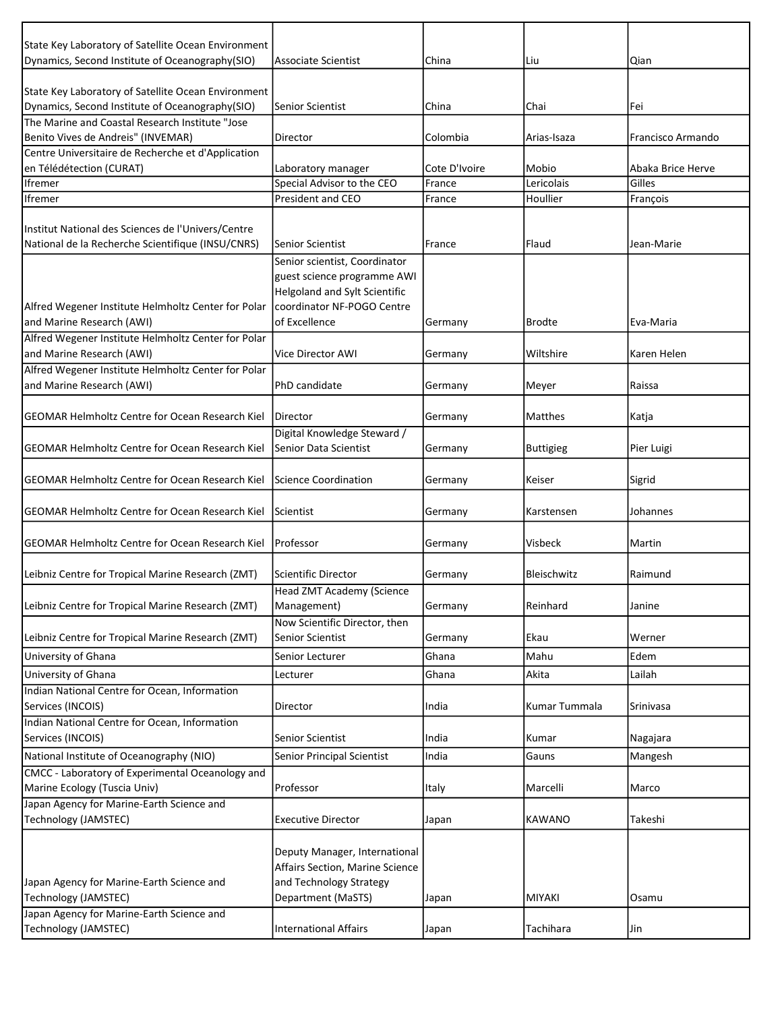| State Key Laboratory of Satellite Ocean Environment    |                                  |               |                  |                   |
|--------------------------------------------------------|----------------------------------|---------------|------------------|-------------------|
| Dynamics, Second Institute of Oceanography(SIO)        | <b>Associate Scientist</b>       | China         | Liu              | Qian              |
| State Key Laboratory of Satellite Ocean Environment    |                                  |               |                  |                   |
| Dynamics, Second Institute of Oceanography(SIO)        | <b>Senior Scientist</b>          | China         | Chai             | Fei               |
| The Marine and Coastal Research Institute "Jose        |                                  |               |                  |                   |
| Benito Vives de Andreis" (INVEMAR)                     | Director                         | Colombia      | Arias-Isaza      | Francisco Armando |
| Centre Universitaire de Recherche et d'Application     |                                  |               |                  |                   |
| en Télédétection (CURAT)                               | Laboratory manager               | Cote D'Ivoire | Mobio            | Abaka Brice Herve |
| <b>Ifremer</b>                                         | Special Advisor to the CEO       | France        | Lericolais       | Gilles            |
| lfremer                                                | President and CEO                | France        | Houllier         | François          |
|                                                        |                                  |               |                  |                   |
| Institut National des Sciences de l'Univers/Centre     |                                  |               |                  |                   |
| National de la Recherche Scientifique (INSU/CNRS)      | Senior Scientist                 | France        | Flaud            | Jean-Marie        |
|                                                        | Senior scientist, Coordinator    |               |                  |                   |
|                                                        | guest science programme AWI      |               |                  |                   |
|                                                        | Helgoland and Sylt Scientific    |               |                  |                   |
| Alfred Wegener Institute Helmholtz Center for Polar    | coordinator NF-POGO Centre       |               |                  |                   |
| and Marine Research (AWI)                              | of Excellence                    | Germany       | <b>Brodte</b>    | Eva-Maria         |
| Alfred Wegener Institute Helmholtz Center for Polar    |                                  |               |                  |                   |
| and Marine Research (AWI)                              | <b>Vice Director AWI</b>         | Germany       | Wiltshire        | Karen Helen       |
| Alfred Wegener Institute Helmholtz Center for Polar    |                                  |               |                  |                   |
| and Marine Research (AWI)                              | PhD candidate                    | Germany       | Meyer            | Raissa            |
|                                                        |                                  |               |                  |                   |
| <b>GEOMAR Helmholtz Centre for Ocean Research Kiel</b> | Director                         | Germany       | Matthes          | Katja             |
|                                                        | Digital Knowledge Steward /      |               |                  |                   |
| <b>GEOMAR Helmholtz Centre for Ocean Research Kiel</b> | <b>Senior Data Scientist</b>     | Germany       | <b>Buttigieg</b> | Pier Luigi        |
|                                                        |                                  |               |                  |                   |
| <b>GEOMAR Helmholtz Centre for Ocean Research Kiel</b> | <b>Science Coordination</b>      | Germany       | Keiser           | Sigrid            |
|                                                        |                                  |               |                  |                   |
| <b>GEOMAR Helmholtz Centre for Ocean Research Kiel</b> | Scientist                        | Germany       | Karstensen       | Johannes          |
|                                                        |                                  |               |                  |                   |
| <b>GEOMAR Helmholtz Centre for Ocean Research Kiel</b> | Professor                        | Germany       | Visbeck          | Martin            |
|                                                        |                                  |               |                  |                   |
| Leibniz Centre for Tropical Marine Research (ZMT)      | Scientific Director              | Germany       | Bleischwitz      | Raimund           |
|                                                        | <b>Head ZMT Academy (Science</b> |               |                  |                   |
| Leibniz Centre for Tropical Marine Research (ZMT)      | Management)                      | Germany       | Reinhard         | Janine            |
|                                                        | Now Scientific Director, then    |               |                  |                   |
| Leibniz Centre for Tropical Marine Research (ZMT)      | Senior Scientist                 | Germany       | Ekau             | Werner            |
|                                                        |                                  |               |                  |                   |
| University of Ghana                                    | Senior Lecturer                  | Ghana         | Mahu             | Edem              |
| University of Ghana                                    | Lecturer                         | Ghana         | Akita            | Lailah            |
| Indian National Centre for Ocean, Information          |                                  |               |                  |                   |
| Services (INCOIS)                                      | Director                         | India         | Kumar Tummala    | Srinivasa         |
| Indian National Centre for Ocean, Information          |                                  |               |                  |                   |
| Services (INCOIS)                                      | <b>Senior Scientist</b>          | India         | Kumar            | Nagajara          |
| National Institute of Oceanography (NIO)               | Senior Principal Scientist       | India         | Gauns            | Mangesh           |
| CMCC - Laboratory of Experimental Oceanology and       |                                  |               |                  |                   |
| Marine Ecology (Tuscia Univ)                           | Professor                        | Italy         | Marcelli         | Marco             |
| Japan Agency for Marine-Earth Science and              |                                  |               |                  |                   |
| Technology (JAMSTEC)                                   | <b>Executive Director</b>        | Japan         | <b>KAWANO</b>    | Takeshi           |
|                                                        |                                  |               |                  |                   |
|                                                        | Deputy Manager, International    |               |                  |                   |
|                                                        | Affairs Section, Marine Science  |               |                  |                   |
| Japan Agency for Marine-Earth Science and              | and Technology Strategy          |               |                  |                   |
| Technology (JAMSTEC)                                   | Department (MaSTS)               | Japan         | MIYAKI           | Osamu             |
| Japan Agency for Marine-Earth Science and              |                                  |               |                  |                   |
| Technology (JAMSTEC)                                   | <b>International Affairs</b>     | Japan         | Tachihara        | Jin               |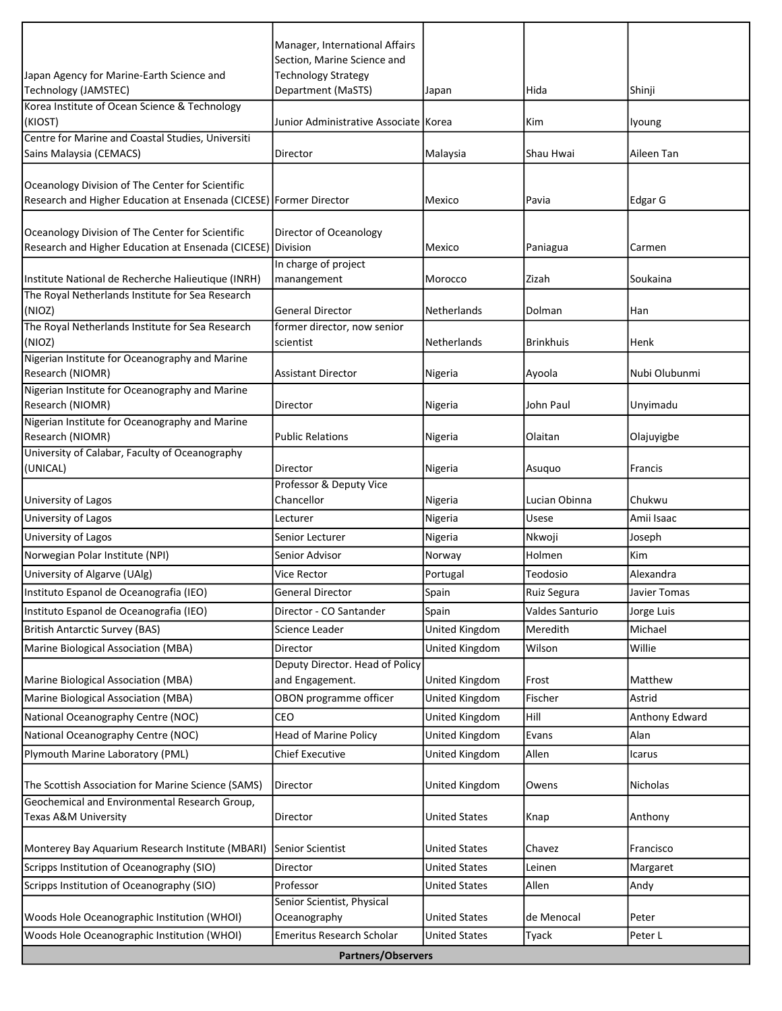|                                                                                                                        | Manager, International Affairs                            |                      |                                |                            |
|------------------------------------------------------------------------------------------------------------------------|-----------------------------------------------------------|----------------------|--------------------------------|----------------------------|
| Japan Agency for Marine-Earth Science and                                                                              | Section, Marine Science and<br><b>Technology Strategy</b> |                      |                                |                            |
| Technology (JAMSTEC)                                                                                                   | Department (MaSTS)                                        | Japan                | Hida                           | Shinji                     |
| Korea Institute of Ocean Science & Technology                                                                          |                                                           |                      |                                |                            |
| (KIOST)                                                                                                                | Junior Administrative Associate   Korea                   |                      | Kim                            | lyoung                     |
| Centre for Marine and Coastal Studies, Universiti<br>Sains Malaysia (CEMACS)                                           | Director                                                  | Malaysia             | Shau Hwai                      | Aileen Tan                 |
|                                                                                                                        |                                                           |                      |                                |                            |
| Oceanology Division of The Center for Scientific<br>Research and Higher Education at Ensenada (CICESE) Former Director |                                                           | Mexico               | Pavia                          | Edgar G                    |
|                                                                                                                        |                                                           |                      |                                |                            |
| Oceanology Division of The Center for Scientific                                                                       | Director of Oceanology                                    |                      |                                |                            |
| Research and Higher Education at Ensenada (CICESE) Division                                                            |                                                           | Mexico               | Paniagua                       | Carmen                     |
| Institute National de Recherche Halieutique (INRH)                                                                     | In charge of project<br>manangement                       | Morocco              | Zizah                          | Soukaina                   |
| The Royal Netherlands Institute for Sea Research                                                                       |                                                           |                      |                                |                            |
| (NIOZ)                                                                                                                 | <b>General Director</b>                                   | Netherlands          | Dolman                         | Han                        |
| The Royal Netherlands Institute for Sea Research                                                                       | former director, now senior                               |                      |                                |                            |
| (NIOZ)                                                                                                                 | scientist                                                 | Netherlands          | <b>Brinkhuis</b>               | Henk                       |
| Nigerian Institute for Oceanography and Marine<br>Research (NIOMR)                                                     | <b>Assistant Director</b>                                 | Nigeria              | Ayoola                         | Nubi Olubunmi              |
| Nigerian Institute for Oceanography and Marine<br><b>Research (NIOMR)</b>                                              | Director                                                  | Nigeria              | John Paul                      | Unyimadu                   |
| Nigerian Institute for Oceanography and Marine                                                                         |                                                           |                      |                                |                            |
| Research (NIOMR)                                                                                                       | <b>Public Relations</b>                                   | Nigeria              | Olaitan                        | Olajuyigbe                 |
| University of Calabar, Faculty of Oceanography<br>(UNICAL)                                                             | Director                                                  | Nigeria              | Asuquo                         | Francis                    |
|                                                                                                                        | Professor & Deputy Vice                                   |                      |                                |                            |
| University of Lagos                                                                                                    | Chancellor                                                | Nigeria              | Lucian Obinna                  | Chukwu                     |
| University of Lagos                                                                                                    | Lecturer                                                  | Nigeria              | Usese                          | Amii Isaac                 |
| University of Lagos                                                                                                    | Senior Lecturer                                           | Nigeria              | Nkwoji                         | Joseph                     |
| Norwegian Polar Institute (NPI)                                                                                        | Senior Advisor                                            | Norway               | Holmen                         | Kim                        |
| University of Algarve (UAlg)                                                                                           | Vice Rector                                               | Portugal             | Teodosio                       | Alexandra                  |
| Instituto Espanol de Oceanografia (IEO)<br>Instituto Espanol de Oceanografia (IEO)                                     | <b>General Director</b><br>Director - CO Santander        | Spain<br>Spain       | Ruiz Segura<br>Valdes Santurio | Javier Tomas<br>Jorge Luis |
| <b>British Antarctic Survey (BAS)</b>                                                                                  | Science Leader                                            | United Kingdom       | Meredith                       | Michael                    |
| Marine Biological Association (MBA)                                                                                    | <b>Director</b>                                           | United Kingdom       | Wilson                         | Willie                     |
|                                                                                                                        | Deputy Director. Head of Policy                           |                      |                                |                            |
| Marine Biological Association (MBA)                                                                                    | and Engagement.                                           | United Kingdom       | Frost                          | Matthew                    |
| Marine Biological Association (MBA)                                                                                    | OBON programme officer                                    | United Kingdom       | Fischer                        | Astrid                     |
| National Oceanography Centre (NOC)                                                                                     | CEO                                                       | United Kingdom       | Hill                           | Anthony Edward             |
| National Oceanography Centre (NOC)                                                                                     | <b>Head of Marine Policy</b>                              | United Kingdom       | Evans                          | Alan                       |
| Plymouth Marine Laboratory (PML)                                                                                       | <b>Chief Executive</b>                                    | United Kingdom       | Allen                          | Icarus                     |
| The Scottish Association for Marine Science (SAMS)                                                                     | Director                                                  | United Kingdom       | Owens                          | <b>Nicholas</b>            |
| Geochemical and Environmental Research Group,                                                                          |                                                           |                      |                                |                            |
| Texas A&M University                                                                                                   | Director                                                  | <b>United States</b> | Knap                           | Anthony                    |
| Monterey Bay Aquarium Research Institute (MBARI)                                                                       | Senior Scientist                                          | <b>United States</b> | Chavez                         | Francisco                  |
| Scripps Institution of Oceanography (SIO)                                                                              | Director                                                  | <b>United States</b> | Leinen                         | Margaret                   |
| Scripps Institution of Oceanography (SIO)                                                                              | Professor                                                 | <b>United States</b> | Allen                          | Andy                       |
| Woods Hole Oceanographic Institution (WHOI)                                                                            | Senior Scientist, Physical<br>Oceanography                | <b>United States</b> | de Menocal                     | Peter                      |
| Woods Hole Oceanographic Institution (WHOI)                                                                            | Emeritus Research Scholar                                 | <b>United States</b> | Tyack                          | Peter L                    |
|                                                                                                                        | <b>Partners/Observers</b>                                 |                      |                                |                            |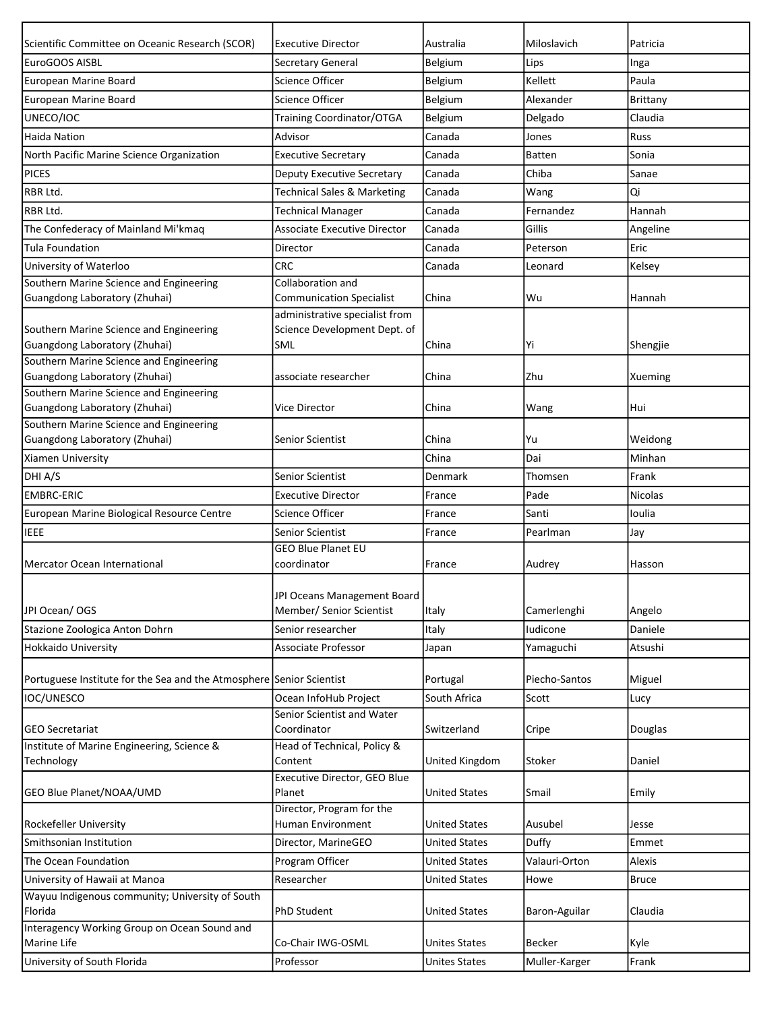| Scientific Committee on Oceanic Research (SCOR)                          | <b>Executive Director</b>                                             | Australia             | Miloslavich   | Patricia       |
|--------------------------------------------------------------------------|-----------------------------------------------------------------------|-----------------------|---------------|----------------|
| EuroGOOS AISBL                                                           | <b>Secretary General</b>                                              | <b>Belgium</b>        | Lips          | Inga           |
| European Marine Board                                                    | Science Officer                                                       | Belgium               | Kellett       | Paula          |
| European Marine Board                                                    | <b>Science Officer</b>                                                | Belgium               | Alexander     | Brittany       |
| UNECO/IOC                                                                | Training Coordinator/OTGA                                             | Belgium               | Delgado       | Claudia        |
| <b>Haida Nation</b>                                                      | Advisor                                                               | Canada                | Jones         | Russ           |
| North Pacific Marine Science Organization                                | <b>Executive Secretary</b>                                            | Canada                | <b>Batten</b> | Sonia          |
| <b>PICES</b>                                                             | <b>Deputy Executive Secretary</b>                                     | Canada                | Chiba         | Sanae          |
| RBR Ltd.                                                                 | <b>Technical Sales &amp; Marketing</b>                                | Canada                | Wang          | Qi             |
| <b>RBR Ltd.</b>                                                          | <b>Technical Manager</b>                                              | Canada                | Fernandez     | Hannah         |
| The Confederacy of Mainland Mi'kmaq                                      | <b>Associate Executive Director</b>                                   | Canada                | Gillis        | Angeline       |
| <b>Tula Foundation</b>                                                   | Director                                                              | Canada                | Peterson      | Eric           |
| University of Waterloo                                                   | <b>CRC</b>                                                            | Canada                | Leonard       | Kelsey         |
| Southern Marine Science and Engineering                                  | Collaboration and                                                     |                       |               |                |
| Guangdong Laboratory (Zhuhai)                                            | <b>Communication Specialist</b>                                       | China                 | Wu            | Hannah         |
| Southern Marine Science and Engineering<br>Guangdong Laboratory (Zhuhai) | administrative specialist from<br>Science Development Dept. of<br>SML | China                 | Yi            | Shengjie       |
| Southern Marine Science and Engineering<br>Guangdong Laboratory (Zhuhai) | associate researcher                                                  | China                 | Zhu           | Xueming        |
| Southern Marine Science and Engineering                                  |                                                                       |                       |               |                |
| Guangdong Laboratory (Zhuhai)                                            | Vice Director                                                         | China                 | Wang          | Hui            |
| Southern Marine Science and Engineering<br>Guangdong Laboratory (Zhuhai) | <b>Senior Scientist</b>                                               | China                 | Yu            | Weidong        |
| Xiamen University                                                        |                                                                       | China                 | Dai           | Minhan         |
|                                                                          |                                                                       |                       |               |                |
| DHI A/S                                                                  | Senior Scientist                                                      | <b>Denmark</b>        | Thomsen       | Frank          |
| <b>EMBRC-ERIC</b>                                                        | <b>Executive Director</b>                                             | France                | Pade          | <b>Nicolas</b> |
| European Marine Biological Resource Centre                               | <b>Science Officer</b>                                                | France                | Santi         | Ioulia         |
| <b>IEEE</b>                                                              | <b>Senior Scientist</b>                                               | France                | Pearlman      | Jay            |
|                                                                          | <b>GEO Blue Planet EU</b><br>coordinator                              |                       | Audrey        |                |
| Mercator Ocean International                                             |                                                                       | France                |               | Hasson         |
| JPI Ocean/OGS                                                            | JPI Oceans Management Board<br>Member/ Senior Scientist               | Italy                 | Camerlenghi   | Angelo         |
| Stazione Zoologica Anton Dohrn                                           | Senior researcher                                                     | Italy                 | Iudicone      | Daniele        |
| Hokkaido University                                                      | Associate Professor                                                   | Japan                 | Yamaguchi     | Atsushi        |
| Portuguese Institute for the Sea and the Atmosphere Senior Scientist     |                                                                       | Portugal              | Piecho-Santos | Miguel         |
| IOC/UNESCO                                                               | Ocean InfoHub Project                                                 | South Africa          | Scott         | Lucy           |
| <b>IGEO Secretariat</b>                                                  | Senior Scientist and Water<br>Coordinator                             | Switzerland           | Cripe         | Douglas        |
| Institute of Marine Engineering, Science &                               | Head of Technical, Policy &                                           |                       |               |                |
| Technology                                                               | Content                                                               | <b>United Kingdom</b> | Stoker        | Daniel         |
| GEO Blue Planet/NOAA/UMD                                                 | Executive Director, GEO Blue<br>Planet                                | <b>United States</b>  | Smail         | Emily          |
| Rockefeller University                                                   | Director, Program for the<br>Human Environment                        | <b>United States</b>  | Ausubel       | Jesse          |
| Smithsonian Institution                                                  | Director, MarineGEO                                                   | <b>United States</b>  | Duffy         | Emmet          |
| The Ocean Foundation                                                     | Program Officer                                                       | <b>United States</b>  | Valauri-Orton | Alexis         |
| University of Hawaii at Manoa                                            | Researcher                                                            | <b>United States</b>  | Howe          | <b>Bruce</b>   |
| Wayuu Indigenous community; University of South                          |                                                                       |                       |               |                |
| Florida                                                                  | <b>PhD Student</b>                                                    | <b>United States</b>  | Baron-Aguilar | Claudia        |
| Interagency Working Group on Ocean Sound and                             |                                                                       |                       |               |                |
| Marine Life                                                              | Co-Chair IWG-OSML                                                     | <b>Unites States</b>  | <b>Becker</b> | Kyle           |
| University of South Florida                                              | Professor                                                             | <b>Unites States</b>  | Muller-Karger | Frank          |